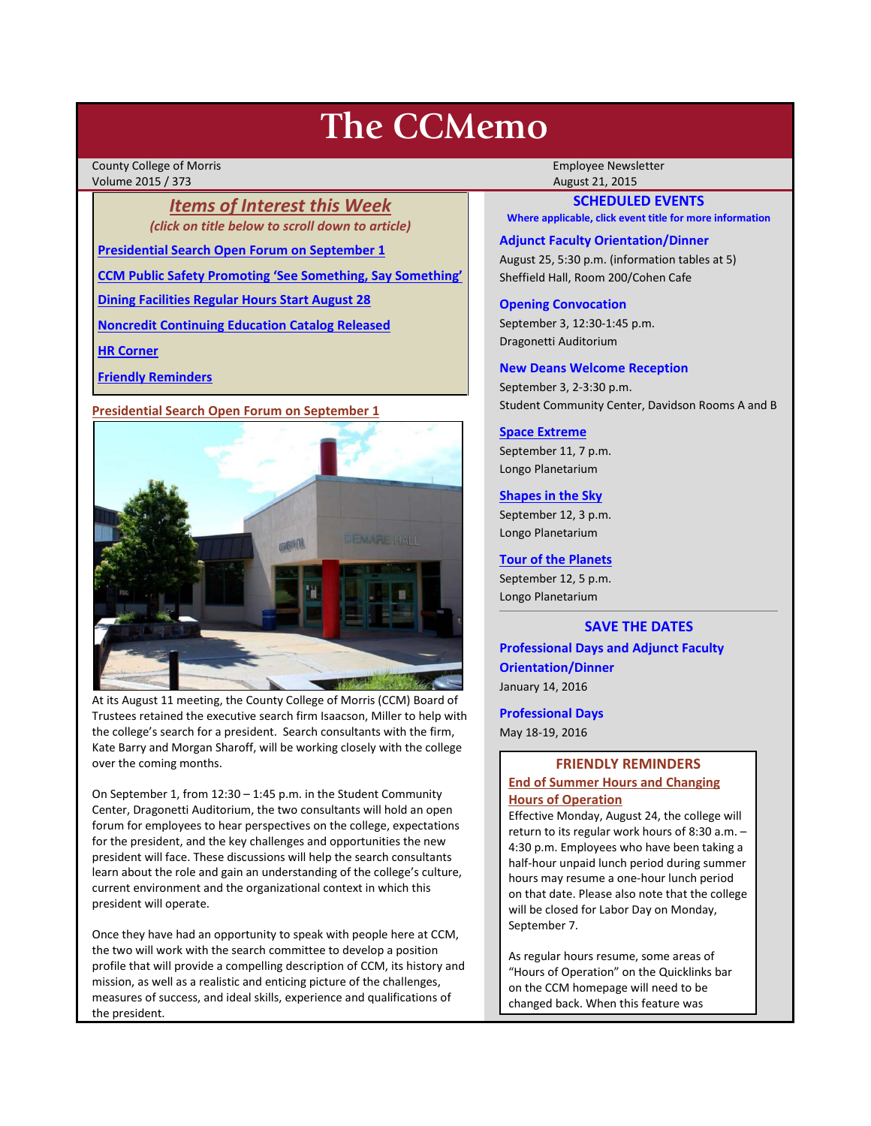# **The CCMemo**

County College of Morris **Employee Newsletter** Employee Newsletter Employee Newsletter Volume 2015 / 373 August 21, 2015

> *Items of Interest this Week (click on title below to scroll down to article)*

**[Presidential Search Open Forum on September 1](#page-0-0)**

**[CCM Public Safety Promoting 'See Something, Say Something'](#page-1-0)**

**[Dining Facilities Regular Hours Start August 28](#page-1-1)**

**[Noncredit Continuing Education Catalog Released](#page-2-0)**

**[HR Corner](#page-1-2)**

**[Friendly Reminders](#page-0-1)**

<span id="page-0-0"></span>**Presidential Search Open Forum on September 1**



At its August 11 meeting, the County College of Morris (CCM) Board of Trustees retained the executive search firm Isaacson, Miller to help with the college's search for a president. Search consultants with the firm, Kate Barry and Morgan Sharoff, will be working closely with the college over the coming months.

On September 1, from 12:30 – 1:45 p.m. in the Student Community Center, Dragonetti Auditorium, the two consultants will hold an open forum for employees to hear perspectives on the college, expectations for the president, and the key challenges and opportunities the new president will face. These discussions will help the search consultants learn about the role and gain an understanding of the college's culture, current environment and the organizational context in which this president will operate.

Once they have had an opportunity to speak with people here at CCM, the two will work with the search committee to develop a position profile that will provide a compelling description of CCM, its history and mission, as well as a realistic and enticing picture of the challenges, measures of success, and ideal skills, experience and qualifications of the president.

# **SCHEDULED EVENTS**

**Where applicable, click event title for more information**

#### **Adjunct Faculty Orientation/Dinner**

August 25, 5:30 p.m. (information tables at 5) Sheffield Hall, Room 200/Cohen Cafe

#### **Opening Convocation**

September 3, 12:30-1:45 p.m. Dragonetti Auditorium

#### **New Deans Welcome Reception**

September 3, 2-3:30 p.m. Student Community Center, Davidson Rooms A and B

## **[Space Extreme](http://www.ccm.edu/newsEvents/eventDetails.aspx?Channel=/Channels/Sitewide&WorkflowItemID=1874a4b0-0bcb-4ed1-a29e-7b4f8d25e45d)**

September 11, 7 p.m. Longo Planetarium

#### **[Shapes in the Sky](http://www.ccm.edu/newsEvents/eventDetails.aspx?Channel=/Channels/Sitewide&WorkflowItemID=1922c928-86d3-4e75-b6a2-fd618033989c)**

September 12, 3 p.m. Longo Planetarium

#### **[Tour of the Planets](http://www.ccm.edu/newsEvents/eventDetails.aspx?Channel=/Channels/Sitewide&WorkflowItemID=5834aa20-68ba-4fa2-a3ac-75b2311ba441)**

September 12, 5 p.m. Longo Planetarium

## **SAVE THE DATES**

**Professional Days and Adjunct Faculty Orientation/Dinner** January 14, 2016

**Professional Days**

May 18-19, 2016

# <span id="page-0-1"></span>**FRIENDLY REMINDERS End of Summer Hours and Changing Hours of Operation**

Effective Monday, August 24, the college will return to its regular work hours of 8:30 a.m. – 4:30 p.m. Employees who have been taking a half-hour unpaid lunch period during summer hours may resume a one-hour lunch period on that date. Please also note that the college will be closed for Labor Day on Monday, September 7.

As regular hours resume, some areas of "Hours of Operation" on the Quicklinks bar on the CCM homepage will need to be changed back. When this feature was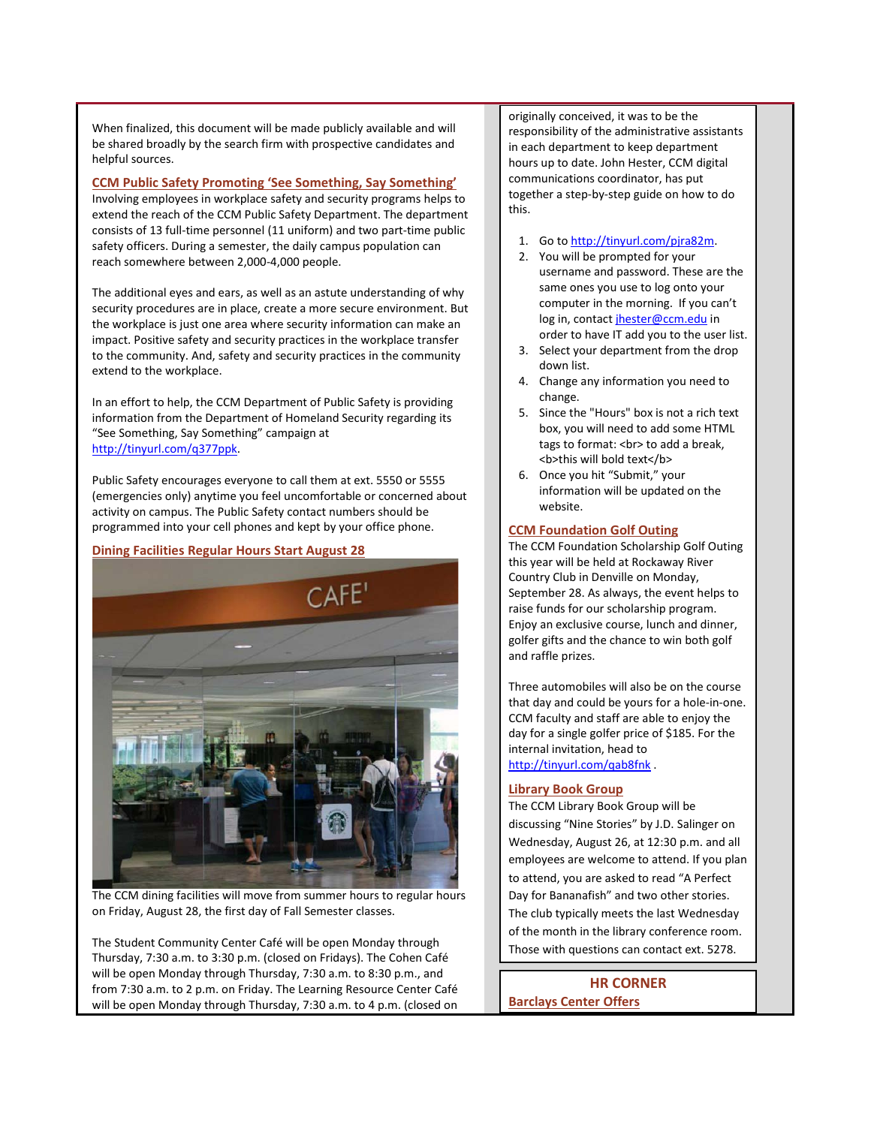When finalized, this document will be made publicly available and will be shared broadly by the search firm with prospective candidates and helpful sources.

### <span id="page-1-0"></span>**CCM Public Safety Promoting 'See Something, Say Something'**

Involving employees in workplace safety and security programs helps to extend the reach of the CCM Public Safety Department. The department consists of 13 full-time personnel (11 uniform) and two part-time public safety officers. During a semester, the daily campus population can reach somewhere between 2,000-4,000 people.

The additional eyes and ears, as well as an astute understanding of why security procedures are in place, create a more secure environment. But the workplace is just one area where security information can make an impact. Positive safety and security practices in the workplace transfer to the community. And, safety and security practices in the community extend to the workplace.

In an effort to help, the CCM Department of Public Safety is providing information from the Department of Homeland Security regarding its "See Something, Say Something" campaign at [http://tinyurl.com/q377ppk.](http://tinyurl.com/q377ppk)

Public Safety encourages everyone to call them at ext. 5550 or 5555 (emergencies only) anytime you feel uncomfortable or concerned about activity on campus. The Public Safety contact numbers should be programmed into your cell phones and kept by your office phone.

### <span id="page-1-1"></span>**Dining Facilities Regular Hours Start August 28**



The CCM dining facilities will move from summer hours to regular hours on Friday, August 28, the first day of Fall Semester classes.

The Student Community Center Café will be open Monday through Thursday, 7:30 a.m. to 3:30 p.m. (closed on Fridays). The Cohen Café will be open Monday through Thursday, 7:30 a.m. to 8:30 p.m., and from 7:30 a.m. to 2 p.m. on Friday. The Learning Resource Center Café will be open Monday through Thursday, 7:30 a.m. to 4 p.m. (closed on

originally conceived, it was to be the responsibility of the administrative assistants in each department to keep department hours up to date. John Hester, CCM digital communications coordinator, has put together a step-by-step guide on how to do this.

- 1. Go t[o http://tinyurl.com/pjra82m.](http://tinyurl.com/pjra82m)
- 2. You will be prompted for your username and password. These are the same ones you use to log onto your computer in the morning. If you can't log in, contact [jhester@ccm.edu](mailto:jhester@ccm.edu) in order to have IT add you to the user list.
- 3. Select your department from the drop down list.
- 4. Change any information you need to change.
- 5. Since the "Hours" box is not a rich text box, you will need to add some HTML tags to format: <br> to add a break, <b> this will bold text</b>
- 6. Once you hit "Submit," your information will be updated on the website.

### **CCM Foundation Golf Outing**

The CCM Foundation Scholarship Golf Outing this year will be held at Rockaway River Country Club in Denville on Monday, September 28. As always, the event helps to raise funds for our scholarship program. Enjoy an exclusive course, lunch and dinner, golfer gifts and the chance to win both golf and raffle prizes.

Three automobiles will also be on the course that day and could be yours for a hole-in-one. CCM faculty and staff are able to enjoy the day for a single golfer price of \$185. For the internal invitation, head to <http://tinyurl.com/qab8fnk> .

# **Library Book Group**

The CCM Library Book Group will be discussing "Nine Stories" by J.D. Salinger on Wednesday, August 26, at 12:30 p.m. and all employees are welcome to attend. If you plan to attend, you are asked to read "A Perfect Day for Bananafish" and two other stories. The club typically meets the last Wednesday of the month in the library conference room. Those with questions can contact ext. 5278.

<span id="page-1-2"></span>**HR CORNER Barclays Center Offers**